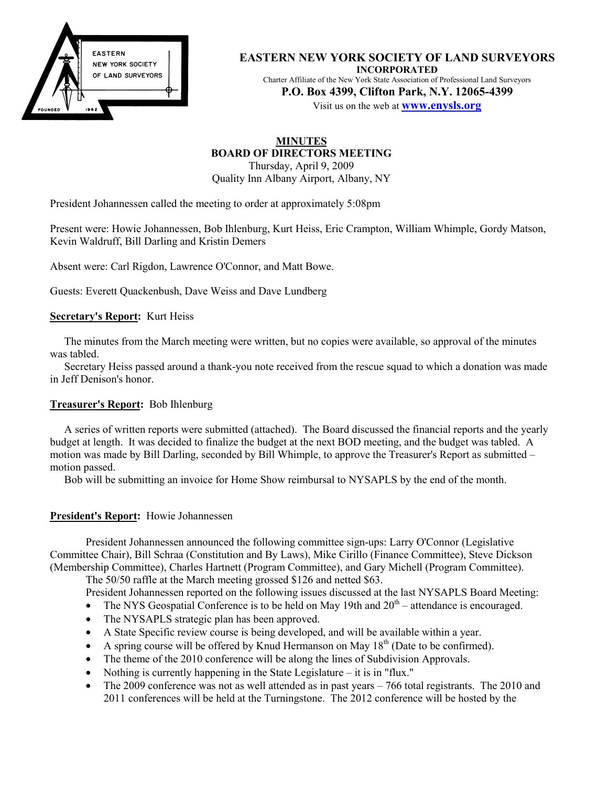

**EASTERN NEW YORK SOCIETY OF LAND SURVEYORS INCORPORATED** Charter Affiliate of the New York State Association of Professional Land Surveyors **P.O. Box 4399, Clifton Park, N.Y. 12065-4399**

Visit us on the web at **www.enysls.org**

# **MINUTES BOARD OF DIRECTORS MEETING**

Thursday, April 9, 2009 Quality Inn Albany Airport, Albany, NY

President Johannessen called the meeting to order at approximately 5:08pm

Present were: Howie Johannessen, Bob Ihlenburg, Kurt Heiss, Eric Crampton, William Whimple, Gordy Matson, Kevin Waldruff, Bill Darling and Kristin Demers

Absent were: Carl Rigdon, Lawrence O'Connor, and Matt Bowe.

Guests: Everett Quackenbush, Dave Weiss and Dave Lundberg

#### **Secretary's Report:** Kurt Heiss

The minutes from the March meeting were written, but no copies were available, so approval of the minutes was tabled.

Secretary Heiss passed around a thank-you note received from the rescue squad to which a donation was made in Jeff Denison's honor.

#### **Treasurer's Report:** Bob Ihlenburg

A series of written reports were submitted (attached). The Board discussed the financial reports and the yearly budget at length. It was decided to finalize the budget at the next BOD meeting, and the budget was tabled. A motion was made by Bill Darling, seconded by Bill Whimple, to approve the Treasurer's Report as submitted – motion passed.

Bob will be submitting an invoice for Home Show reimbursal to NYSAPLS by the end of the month.

#### **President's Report:** Howie Johannessen

President Johannessen announced the following committee sign-ups: Larry O'Connor (Legislative Committee Chair), Bill Schraa (Constitution and By Laws), Mike Cirillo (Finance Committee), Steve Dickson (Membership Committee), Charles Hartnett (Program Committee), and Gary Michell (Program Committee).

The 50/50 raffle at the March meeting grossed \$126 and netted \$63.

President Johannessen reported on the following issues discussed at the last NYSAPLS Board Meeting:

- The NYS Geospatial Conference is to be held on May 19th and  $20<sup>th</sup>$  attendance is encouraged.
- The NYSAPLS strategic plan has been approved.
- A State Specific review course is being developed, and will be available within a year.
- A spring course will be offered by Knud Hermanson on May  $18<sup>th</sup>$  (Date to be confirmed).
- The theme of the 2010 conference will be along the lines of Subdivision Approvals.
- Nothing is currently happening in the State Legislature it is in "flux."
- The 2009 conference was not as well attended as in past years 766 total registrants. The 2010 and 2011 conferences will be held at the Turningstone. The 2012 conference will be hosted by the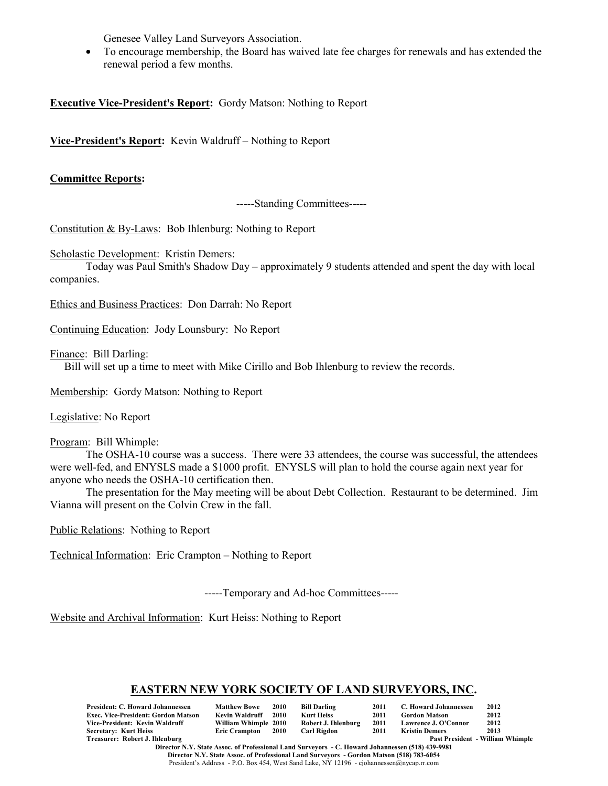Genesee Valley Land Surveyors Association.

• To encourage membership, the Board has waived late fee charges for renewals and has extended the renewal period a few months.

**Executive Vice-President's Report:** Gordy Matson: Nothing to Report

**Vice-President's Report:** Kevin Waldruff – Nothing to Report

#### **Committee Reports:**

-----Standing Committees-----

Constitution & By-Laws: Bob Ihlenburg: Nothing to Report

Scholastic Development: Kristin Demers:

Today was Paul Smith's Shadow Day – approximately 9 students attended and spent the day with local companies.

Ethics and Business Practices: Don Darrah: No Report

Continuing Education: Jody Lounsbury: No Report

Finance: Bill Darling:

Bill will set up a time to meet with Mike Cirillo and Bob Ihlenburg to review the records.

Membership: Gordy Matson: Nothing to Report

Legislative: No Report

Program: Bill Whimple:

The OSHA-10 course was a success. There were 33 attendees, the course was successful, the attendees were well-fed, and ENYSLS made a \$1000 profit. ENYSLS will plan to hold the course again next year for anyone who needs the OSHA-10 certification then.

The presentation for the May meeting will be about Debt Collection. Restaurant to be determined. Jim Vianna will present on the Colvin Crew in the fall.

Public Relations: Nothing to Report

Technical Information: Eric Crampton – Nothing to Report

-----Temporary and Ad-hoc Committees-----

Website and Archival Information: Kurt Heiss: Nothing to Report

#### **EASTERN NEW YORK SOCIETY OF LAND SURVEYORS, INC.**

| <b>President: C. Howard Johannessen</b>    | <b>Matthew Bowe</b>  | 2010 | <b>Bill Darling</b> | 2011 | C. Howard Johannessen | 2012                                    |
|--------------------------------------------|----------------------|------|---------------------|------|-----------------------|-----------------------------------------|
| <b>Exec. Vice-President: Gordon Matson</b> | Kevin Waldruff       | 2010 | Kurt Heiss          | 2011 | <b>Gordon Matson</b>  | 2012                                    |
| Vice-President: Kevin Waldruff             | William Whimple 2010 |      | Robert J. Ihlenburg | 2011 | Lawrence J. O'Connor  | 2012                                    |
| <b>Secretary: Kurt Heiss</b>               | Eric Crampton 2010   |      | Carl Rigdon         | 2011 | Kristin Demers        | 2013                                    |
| Treasurer: Robert J. Ihlenburg             |                      |      |                     |      |                       | <b>Past President - William Whimple</b> |

**Director N.Y. State Assoc. of Professional Land Surveyors - C. Howard Johannessen (518) 439-9981 Director N.Y. State Assoc. of Professional Land Surveyors - Gordon Matson (518) 783-6054** President's Address - P.O. Box 454, West Sand Lake, NY 12196 - cjohannessen@nycap.rr.com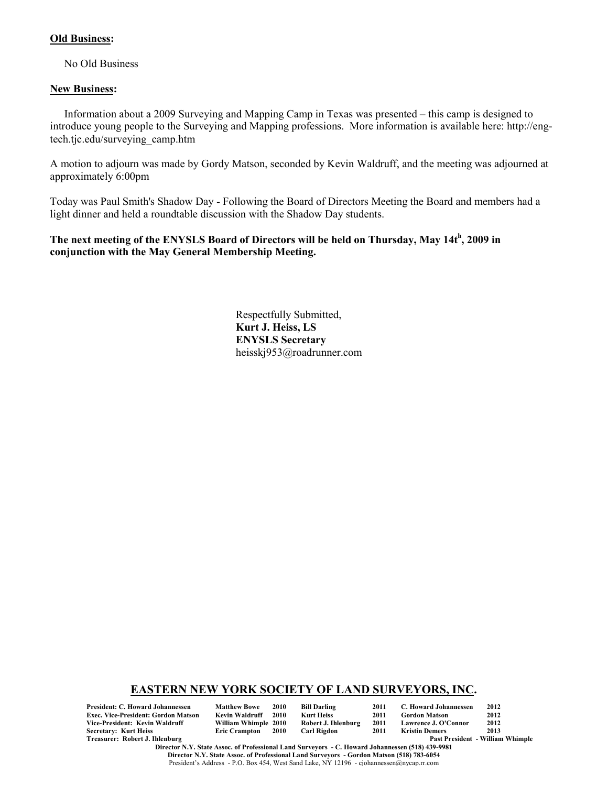#### **Old Business:**

No Old Business

#### **New Business:**

Information about a 2009 Surveying and Mapping Camp in Texas was presented – this camp is designed to introduce young people to the Surveying and Mapping professions. More information is available here: http://engtech.tjc.edu/surveying\_camp.htm

A motion to adjourn was made by Gordy Matson, seconded by Kevin Waldruff, and the meeting was adjourned at approximately 6:00pm

Today was Paul Smith's Shadow Day - Following the Board of Directors Meeting the Board and members had a light dinner and held a roundtable discussion with the Shadow Day students.

### **The next meeting of the ENYSLS Board of Directors will be held on Thursday, May 14t<sup>h</sup> , 2009 in conjunction with the May General Membership Meeting.**

Respectfully Submitted, **Kurt J. Heiss, LS ENYSLS Secretary** heisskj953@roadrunner.com

#### **EASTERN NEW YORK SOCIETY OF LAND SURVEYORS, INC.**

**President: C. Howard Johannessen Matthew Bowe 2010 Bill Darling 2011 C. Howard Johannessen 2012 Exec. Vice-President: Gordon Matson Kevin Waldruff 2010 Kurt Heiss<br>Vice-President: Kevin Waldruff Mülliam Whimple 2010 Robert J. Ihlenburg Vice-President: Kevin Waldruff William Whimple 2010 Robert J. Ihlenburg 2011 Lawrence J. O'Connor 2012 Secretary: Kurt Heiss<br>Treasurer: Robert J. Ihlenburg** 

Past President - William Whimple

**Director N.Y. State Assoc. of Professional Land Surveyors - C. Howard Johannessen (518) 439-9981 Director N.Y. State Assoc. of Professional Land Surveyors - Gordon Matson (518) 783-6054** President's Address - P.O. Box 454, West Sand Lake, NY 12196 - cjohannessen@nycap.rr.com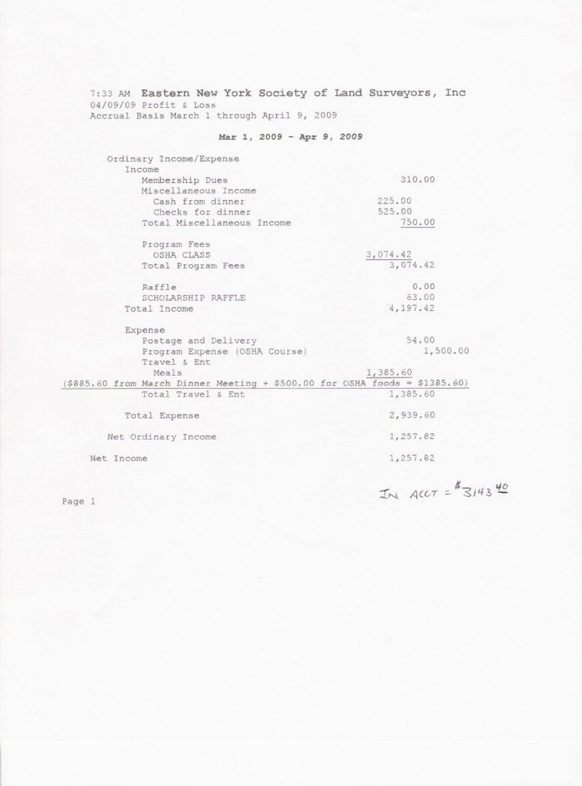7:33 AM Eastern New York Society of Land Surveyors, Inc 04/09/09 Profit & Loss<br>Accrual Basis March 1 through April 9, 2009

## Mar 1, 2009 - Apr 9, 2009

| Ordinary Income/Expense                                                      |           |  |  |  |  |
|------------------------------------------------------------------------------|-----------|--|--|--|--|
| Income                                                                       |           |  |  |  |  |
| Membership Dues                                                              | 310.00    |  |  |  |  |
| Miscellaneous Income                                                         |           |  |  |  |  |
| Cash from dinner                                                             | 225.00    |  |  |  |  |
| Checks for dinner                                                            | 525.00    |  |  |  |  |
| Total Miscellaneous Income                                                   | 750.00    |  |  |  |  |
| Program Fees                                                                 |           |  |  |  |  |
| OSHA CLASS                                                                   | 3,074.42  |  |  |  |  |
| Total Program Fees                                                           | 3,074.42  |  |  |  |  |
| Raffle                                                                       | 0.00      |  |  |  |  |
| SCHOLARSHIP RAFFLE                                                           | 63.00     |  |  |  |  |
| Total Income                                                                 | 4, 197.42 |  |  |  |  |
| Expense                                                                      |           |  |  |  |  |
| Postage and Delivery                                                         | 54.00     |  |  |  |  |
| Program Expense (OSHA Course)                                                | 1,500.00  |  |  |  |  |
| Travel & Ent                                                                 |           |  |  |  |  |
| Meals                                                                        | 1,385.60  |  |  |  |  |
| $( $885.60$ from March Dinner Meeting + \$500.00 for OSHA foods = \$1385.60) |           |  |  |  |  |
| Total Travel & Ent                                                           | 1,385.60  |  |  |  |  |
| Total Expense                                                                | 2,939.60  |  |  |  |  |
| Net Ordinary Income                                                          | 1,257.82  |  |  |  |  |
| Net Income                                                                   | 1,257.82  |  |  |  |  |
|                                                                              |           |  |  |  |  |

Page 1

IN ACCT =  $*314340$